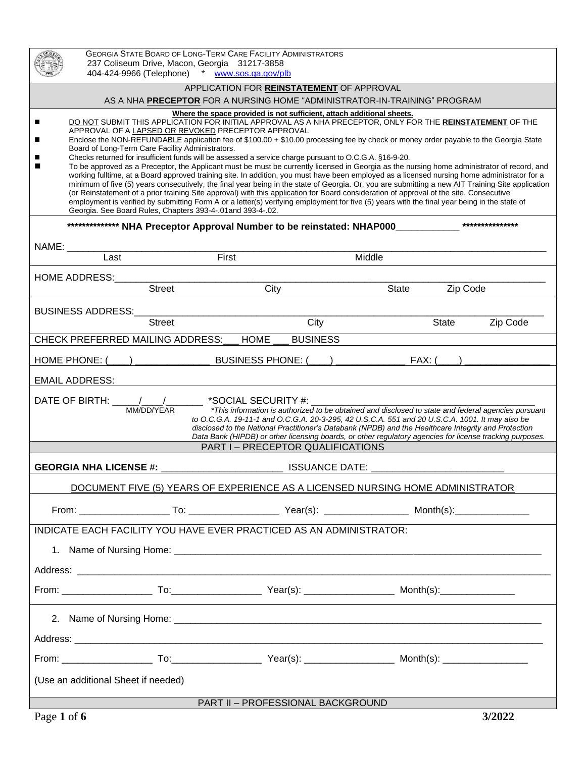|                                                                                                                                                                                                                                                                                                                                                                                                                                                                                                                                                                                                                                                                                                                                                                                                                                                                                                                                                                                                                                                                                                                                                                                                                                                                                                                                                               | <b>GEORGIA STATE BOARD OF LONG-TERM CARE FACILITY ADMINISTRATORS</b><br>237 Coliseum Drive, Macon, Georgia 31217-3858<br>404-424-9966 (Telephone) * www.sos.ga.gov/plb |       |                                                                                                      |          |          |
|---------------------------------------------------------------------------------------------------------------------------------------------------------------------------------------------------------------------------------------------------------------------------------------------------------------------------------------------------------------------------------------------------------------------------------------------------------------------------------------------------------------------------------------------------------------------------------------------------------------------------------------------------------------------------------------------------------------------------------------------------------------------------------------------------------------------------------------------------------------------------------------------------------------------------------------------------------------------------------------------------------------------------------------------------------------------------------------------------------------------------------------------------------------------------------------------------------------------------------------------------------------------------------------------------------------------------------------------------------------|------------------------------------------------------------------------------------------------------------------------------------------------------------------------|-------|------------------------------------------------------------------------------------------------------|----------|----------|
| APPLICATION FOR REINSTATEMENT OF APPROVAL<br>AS A NHA PRECEPTOR FOR A NURSING HOME "ADMINISTRATOR-IN-TRAINING" PROGRAM                                                                                                                                                                                                                                                                                                                                                                                                                                                                                                                                                                                                                                                                                                                                                                                                                                                                                                                                                                                                                                                                                                                                                                                                                                        |                                                                                                                                                                        |       |                                                                                                      |          |          |
|                                                                                                                                                                                                                                                                                                                                                                                                                                                                                                                                                                                                                                                                                                                                                                                                                                                                                                                                                                                                                                                                                                                                                                                                                                                                                                                                                               |                                                                                                                                                                        |       |                                                                                                      |          |          |
| Where the space provided is not sufficient, attach additional sheets.<br>DO NOT SUBMIT THIS APPLICATION FOR INITIAL APPROVAL AS A NHA PRECEPTOR, ONLY FOR THE REINSTATEMENT OF THE<br>APPROVAL OF A LAPSED OR REVOKED PRECEPTOR APPROVAL<br>Enclose the NON-REFUNDABLE application fee of \$100.00 + \$10.00 processing fee by check or money order payable to the Georgia State<br>Board of Long-Term Care Facility Administrators.<br>Checks returned for insufficient funds will be assessed a service charge pursuant to O.C.G.A. §16-9-20.<br>To be approved as a Preceptor, the Applicant must be must be currently licensed in Georgia as the nursing home administrator of record, and<br>working fulltime, at a Board approved training site. In addition, you must have been employed as a licensed nursing home administrator for a<br>minimum of five (5) years consecutively, the final year being in the state of Georgia. Or, you are submitting a new AIT Training Site application<br>(or Reinstatement of a prior training Site approval) with this application for Board consideration of approval of the site. Consecutive<br>employment is verified by submitting Form A or a letter(s) verifying employment for five (5) years with the final year being in the state of<br>Georgia. See Board Rules, Chapters 393-4-.01 and 393-4-.02. |                                                                                                                                                                        |       |                                                                                                      |          |          |
|                                                                                                                                                                                                                                                                                                                                                                                                                                                                                                                                                                                                                                                                                                                                                                                                                                                                                                                                                                                                                                                                                                                                                                                                                                                                                                                                                               |                                                                                                                                                                        |       | *************** NHA Preceptor Approval Number to be reinstated: NHAP000____________***************** |          |          |
| NAME: ___________<br>Last                                                                                                                                                                                                                                                                                                                                                                                                                                                                                                                                                                                                                                                                                                                                                                                                                                                                                                                                                                                                                                                                                                                                                                                                                                                                                                                                     |                                                                                                                                                                        | First | Middle                                                                                               |          |          |
| <b>HOME ADDRESS:</b>                                                                                                                                                                                                                                                                                                                                                                                                                                                                                                                                                                                                                                                                                                                                                                                                                                                                                                                                                                                                                                                                                                                                                                                                                                                                                                                                          |                                                                                                                                                                        |       |                                                                                                      |          |          |
|                                                                                                                                                                                                                                                                                                                                                                                                                                                                                                                                                                                                                                                                                                                                                                                                                                                                                                                                                                                                                                                                                                                                                                                                                                                                                                                                                               | <b>Street</b>                                                                                                                                                          | City  | State                                                                                                | Zip Code |          |
| <b>BUSINESS ADDRESS:</b>                                                                                                                                                                                                                                                                                                                                                                                                                                                                                                                                                                                                                                                                                                                                                                                                                                                                                                                                                                                                                                                                                                                                                                                                                                                                                                                                      |                                                                                                                                                                        |       |                                                                                                      |          |          |
|                                                                                                                                                                                                                                                                                                                                                                                                                                                                                                                                                                                                                                                                                                                                                                                                                                                                                                                                                                                                                                                                                                                                                                                                                                                                                                                                                               | <b>Street</b>                                                                                                                                                          |       | City                                                                                                 | State    | Zip Code |
|                                                                                                                                                                                                                                                                                                                                                                                                                                                                                                                                                                                                                                                                                                                                                                                                                                                                                                                                                                                                                                                                                                                                                                                                                                                                                                                                                               | CHECK PREFERRED MAILING ADDRESS: HOME                                                                                                                                  |       | <b>BUSINESS</b>                                                                                      |          |          |
| FAX: (<br>HOME PHONE: $($                                                                                                                                                                                                                                                                                                                                                                                                                                                                                                                                                                                                                                                                                                                                                                                                                                                                                                                                                                                                                                                                                                                                                                                                                                                                                                                                     |                                                                                                                                                                        |       |                                                                                                      |          |          |
| <b>EMAIL ADDRESS:</b>                                                                                                                                                                                                                                                                                                                                                                                                                                                                                                                                                                                                                                                                                                                                                                                                                                                                                                                                                                                                                                                                                                                                                                                                                                                                                                                                         |                                                                                                                                                                        |       |                                                                                                      |          |          |
| DATE OF BIRTH: $\frac{1}{\sqrt{1-\frac{1}{2}}}$<br>*SOCIAL SECURITY #: __________<br>*This information is authorized to be obtained and disclosed to state and federal agencies pursuant<br>MM/DD/YEAR<br>to O.C.G.A. 19-11-1 and O.C.G.A. 20-3-295, 42 U.S.C.A. 551 and 20 U.S.C.A. 1001. It may also be<br>disclosed to the National Practitioner's Databank (NPDB) and the Healthcare Integrity and Protection<br>Data Bank (HIPDB) or other licensing boards, or other regulatory agencies for license tracking purposes.<br>PART I - PRECEPTOR QUALIFICATIONS                                                                                                                                                                                                                                                                                                                                                                                                                                                                                                                                                                                                                                                                                                                                                                                            |                                                                                                                                                                        |       |                                                                                                      |          |          |
|                                                                                                                                                                                                                                                                                                                                                                                                                                                                                                                                                                                                                                                                                                                                                                                                                                                                                                                                                                                                                                                                                                                                                                                                                                                                                                                                                               |                                                                                                                                                                        |       |                                                                                                      |          |          |
| <b>GEORGIA NHA LICENSE #:</b><br><b>ISSUANCE DATE:</b>                                                                                                                                                                                                                                                                                                                                                                                                                                                                                                                                                                                                                                                                                                                                                                                                                                                                                                                                                                                                                                                                                                                                                                                                                                                                                                        |                                                                                                                                                                        |       |                                                                                                      |          |          |
| DOCUMENT FIVE (5) YEARS OF EXPERIENCE AS A LICENSED NURSING HOME ADMINISTRATOR                                                                                                                                                                                                                                                                                                                                                                                                                                                                                                                                                                                                                                                                                                                                                                                                                                                                                                                                                                                                                                                                                                                                                                                                                                                                                |                                                                                                                                                                        |       |                                                                                                      |          |          |
|                                                                                                                                                                                                                                                                                                                                                                                                                                                                                                                                                                                                                                                                                                                                                                                                                                                                                                                                                                                                                                                                                                                                                                                                                                                                                                                                                               |                                                                                                                                                                        |       |                                                                                                      |          |          |
| INDICATE EACH FACILITY YOU HAVE EVER PRACTICED AS AN ADMINISTRATOR:                                                                                                                                                                                                                                                                                                                                                                                                                                                                                                                                                                                                                                                                                                                                                                                                                                                                                                                                                                                                                                                                                                                                                                                                                                                                                           |                                                                                                                                                                        |       |                                                                                                      |          |          |
|                                                                                                                                                                                                                                                                                                                                                                                                                                                                                                                                                                                                                                                                                                                                                                                                                                                                                                                                                                                                                                                                                                                                                                                                                                                                                                                                                               |                                                                                                                                                                        |       |                                                                                                      |          |          |
|                                                                                                                                                                                                                                                                                                                                                                                                                                                                                                                                                                                                                                                                                                                                                                                                                                                                                                                                                                                                                                                                                                                                                                                                                                                                                                                                                               |                                                                                                                                                                        |       |                                                                                                      |          |          |
|                                                                                                                                                                                                                                                                                                                                                                                                                                                                                                                                                                                                                                                                                                                                                                                                                                                                                                                                                                                                                                                                                                                                                                                                                                                                                                                                                               |                                                                                                                                                                        |       |                                                                                                      |          |          |
|                                                                                                                                                                                                                                                                                                                                                                                                                                                                                                                                                                                                                                                                                                                                                                                                                                                                                                                                                                                                                                                                                                                                                                                                                                                                                                                                                               |                                                                                                                                                                        |       |                                                                                                      |          |          |
|                                                                                                                                                                                                                                                                                                                                                                                                                                                                                                                                                                                                                                                                                                                                                                                                                                                                                                                                                                                                                                                                                                                                                                                                                                                                                                                                                               |                                                                                                                                                                        |       |                                                                                                      |          |          |
|                                                                                                                                                                                                                                                                                                                                                                                                                                                                                                                                                                                                                                                                                                                                                                                                                                                                                                                                                                                                                                                                                                                                                                                                                                                                                                                                                               |                                                                                                                                                                        |       |                                                                                                      |          |          |
| (Use an additional Sheet if needed)                                                                                                                                                                                                                                                                                                                                                                                                                                                                                                                                                                                                                                                                                                                                                                                                                                                                                                                                                                                                                                                                                                                                                                                                                                                                                                                           |                                                                                                                                                                        |       |                                                                                                      |          |          |
| PART II - PROFESSIONAL BACKGROUND                                                                                                                                                                                                                                                                                                                                                                                                                                                                                                                                                                                                                                                                                                                                                                                                                                                                                                                                                                                                                                                                                                                                                                                                                                                                                                                             |                                                                                                                                                                        |       |                                                                                                      |          |          |
| Page 1 of 6                                                                                                                                                                                                                                                                                                                                                                                                                                                                                                                                                                                                                                                                                                                                                                                                                                                                                                                                                                                                                                                                                                                                                                                                                                                                                                                                                   |                                                                                                                                                                        |       |                                                                                                      |          | 3/2022   |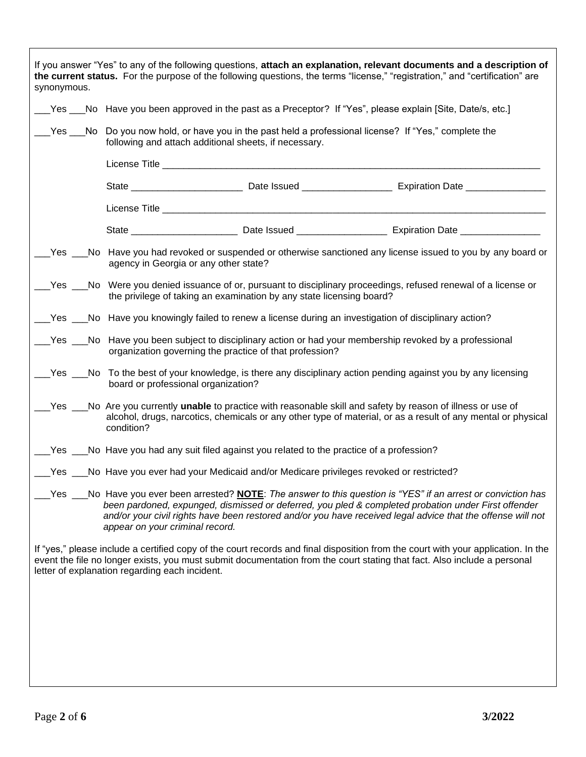| synonymous.                                                                                                                                                                                                                                                                                                                                                               |                                                                                                                                                                                                                                                      |  | If you answer "Yes" to any of the following questions, attach an explanation, relevant documents and a description of<br>the current status. For the purpose of the following questions, the terms "license," "registration," and "certification" are         |  |  |  |
|---------------------------------------------------------------------------------------------------------------------------------------------------------------------------------------------------------------------------------------------------------------------------------------------------------------------------------------------------------------------------|------------------------------------------------------------------------------------------------------------------------------------------------------------------------------------------------------------------------------------------------------|--|---------------------------------------------------------------------------------------------------------------------------------------------------------------------------------------------------------------------------------------------------------------|--|--|--|
|                                                                                                                                                                                                                                                                                                                                                                           | No Have you been approved in the past as a Preceptor? If "Yes", please explain [Site, Date/s, etc.]                                                                                                                                                  |  |                                                                                                                                                                                                                                                               |  |  |  |
|                                                                                                                                                                                                                                                                                                                                                                           | $\mu$ Yes $\mu$ No Do you now hold, or have you in the past held a professional license? If "Yes," complete the<br>following and attach additional sheets, if necessary.                                                                             |  |                                                                                                                                                                                                                                                               |  |  |  |
|                                                                                                                                                                                                                                                                                                                                                                           |                                                                                                                                                                                                                                                      |  |                                                                                                                                                                                                                                                               |  |  |  |
|                                                                                                                                                                                                                                                                                                                                                                           |                                                                                                                                                                                                                                                      |  |                                                                                                                                                                                                                                                               |  |  |  |
|                                                                                                                                                                                                                                                                                                                                                                           |                                                                                                                                                                                                                                                      |  |                                                                                                                                                                                                                                                               |  |  |  |
|                                                                                                                                                                                                                                                                                                                                                                           |                                                                                                                                                                                                                                                      |  |                                                                                                                                                                                                                                                               |  |  |  |
|                                                                                                                                                                                                                                                                                                                                                                           | Yes ___No Have you had revoked or suspended or otherwise sanctioned any license issued to you by any board or<br>agency in Georgia or any other state?                                                                                               |  |                                                                                                                                                                                                                                                               |  |  |  |
|                                                                                                                                                                                                                                                                                                                                                                           | examples Coversian Morre you denied issuance of or, pursuant to disciplinary proceedings, refused renewal of a license or<br>the privilege of taking an examination by any state licensing board?                                                    |  |                                                                                                                                                                                                                                                               |  |  |  |
|                                                                                                                                                                                                                                                                                                                                                                           | Nes ___No Have you knowingly failed to renew a license during an investigation of disciplinary action?                                                                                                                                               |  |                                                                                                                                                                                                                                                               |  |  |  |
|                                                                                                                                                                                                                                                                                                                                                                           | ectionary action or hare you been subject to disciplinary action or had your membership revoked by a professional<br>organization governing the practice of that profession?                                                                         |  |                                                                                                                                                                                                                                                               |  |  |  |
|                                                                                                                                                                                                                                                                                                                                                                           | __Yes __No To the best of your knowledge, is there any disciplinary action pending against you by any licensing<br>board or professional organization?                                                                                               |  |                                                                                                                                                                                                                                                               |  |  |  |
|                                                                                                                                                                                                                                                                                                                                                                           | example to analogorable skill and safety pays on these of these of the skill and safety by reason of illness or use of<br>alcohol, drugs, narcotics, chemicals or any other type of material, or as a result of any mental or physical<br>condition? |  |                                                                                                                                                                                                                                                               |  |  |  |
|                                                                                                                                                                                                                                                                                                                                                                           | Les Languistic Have you had any suit filed against you related to the practice of a profession?                                                                                                                                                      |  |                                                                                                                                                                                                                                                               |  |  |  |
|                                                                                                                                                                                                                                                                                                                                                                           | [13] Yes ___No Have you ever had your Medicaid and/or Medicare privileges revoked or restricted?                                                                                                                                                     |  |                                                                                                                                                                                                                                                               |  |  |  |
| Yes ___No Have you ever been arrested? NOTE: The answer to this question is "YES" if an arrest or conviction has<br>been pardoned, expunged, dismissed or deferred, you pled & completed probation under First offender<br>and/or your civil rights have been restored and/or you have received legal advice that the offense will not<br>appear on your criminal record. |                                                                                                                                                                                                                                                      |  |                                                                                                                                                                                                                                                               |  |  |  |
|                                                                                                                                                                                                                                                                                                                                                                           | letter of explanation regarding each incident.                                                                                                                                                                                                       |  | If "yes," please include a certified copy of the court records and final disposition from the court with your application. In the<br>event the file no longer exists, you must submit documentation from the court stating that fact. Also include a personal |  |  |  |
|                                                                                                                                                                                                                                                                                                                                                                           |                                                                                                                                                                                                                                                      |  |                                                                                                                                                                                                                                                               |  |  |  |
|                                                                                                                                                                                                                                                                                                                                                                           |                                                                                                                                                                                                                                                      |  |                                                                                                                                                                                                                                                               |  |  |  |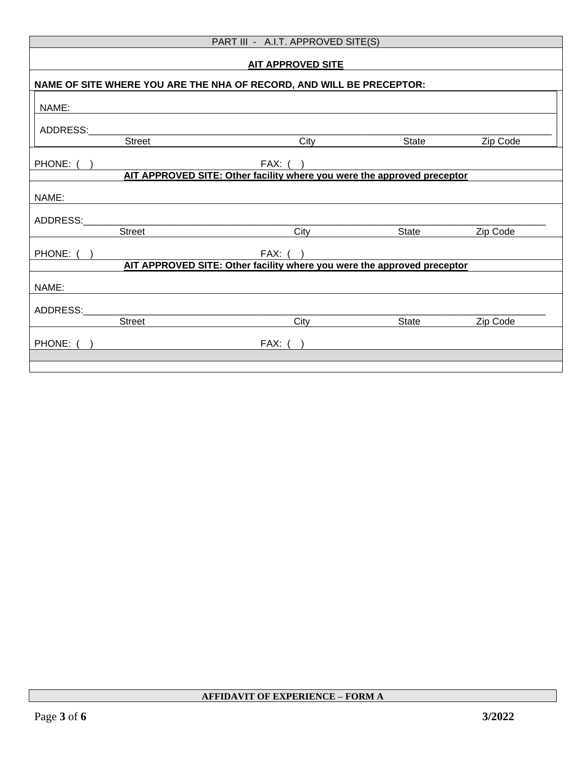| PART III - A.I.T. APPROVED SITE(S)                                      |                                                                         |       |          |  |
|-------------------------------------------------------------------------|-------------------------------------------------------------------------|-------|----------|--|
| <b>AIT APPROVED SITE</b>                                                |                                                                         |       |          |  |
| NAME OF SITE WHERE YOU ARE THE NHA OF RECORD, AND WILL BE PRECEPTOR:    |                                                                         |       |          |  |
| NAME:                                                                   |                                                                         |       |          |  |
| ADDRESS:                                                                |                                                                         |       |          |  |
| <b>Street</b>                                                           | City                                                                    | State | Zip Code |  |
| PHONE: (                                                                | FAX: ( )                                                                |       |          |  |
|                                                                         | AIT APPROVED SITE: Other facility where you were the approved preceptor |       |          |  |
| NAME:                                                                   |                                                                         |       |          |  |
| ADDRESS:                                                                |                                                                         |       |          |  |
| Street                                                                  | City                                                                    | State | Zip Code |  |
| PHONE: (                                                                | FAX: ( )                                                                |       |          |  |
| AIT APPROVED SITE: Other facility where you were the approved preceptor |                                                                         |       |          |  |
| NAME:                                                                   |                                                                         |       |          |  |
| ADDRESS:                                                                |                                                                         |       |          |  |
| Street                                                                  | City                                                                    | State | Zip Code |  |
| PHONE: (                                                                | $FAX:$ (                                                                |       |          |  |
|                                                                         |                                                                         |       |          |  |
|                                                                         |                                                                         |       |          |  |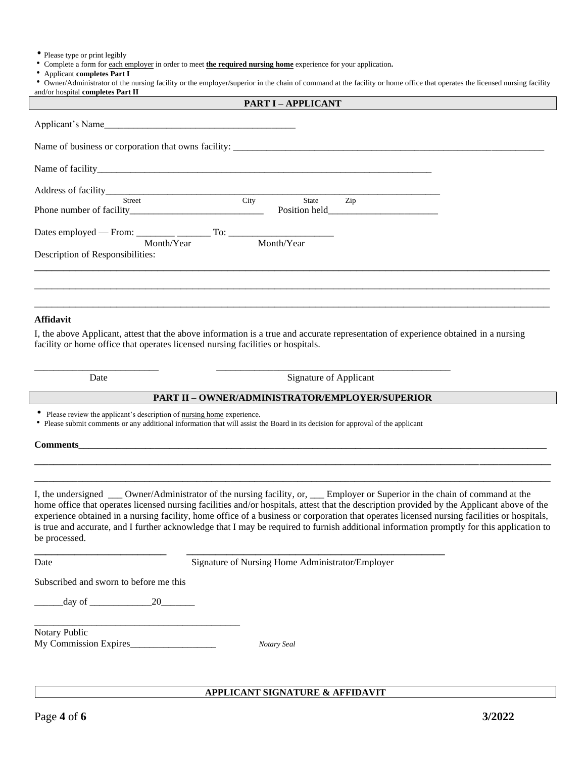Please type or print legibly

Complete a form for each employer in order to meet **the required nursing home** experience for your application**.**

Applicant **completes Part I**

• Owner/Administrator of the nursing facility or the employer/superior in the chain of command at the facility or home office that operates the licensed nursing facility and/or hospital **completes Part II**

**PART I – APPLICANT**

| Applicant's Name                 |      |            |                                 |  |
|----------------------------------|------|------------|---------------------------------|--|
|                                  |      |            |                                 |  |
|                                  |      |            |                                 |  |
|                                  |      |            |                                 |  |
| Street                           | City | State      | Zip                             |  |
|                                  |      |            | Position held<br><u>example</u> |  |
|                                  |      |            |                                 |  |
| Month/Year                       |      | Month/Year |                                 |  |
| Description of Responsibilities: |      |            |                                 |  |
|                                  |      |            |                                 |  |
|                                  |      |            |                                 |  |
|                                  |      |            |                                 |  |
|                                  |      |            |                                 |  |

#### **Affidavit**

I, the above Applicant, attest that the above information is a true and accurate representation of experience obtained in a nursing facility or home office that operates licensed nursing facilities or hospitals.

Date Signature of Applicant

#### **PART II – OWNER/ADMINISTRATOR/EMPLOYER/SUPERIOR**

• Please review the applicant's description of nursing home experience.

Please submit comments or any additional information that will assist the Board in its decision for approval of the applicant

**\_\_\_\_\_\_\_\_\_\_\_\_\_\_\_\_\_\_\_\_\_\_\_ \_\_\_\_\_\_\_\_\_\_\_\_\_\_\_\_\_\_\_\_\_\_\_\_\_\_\_\_\_\_\_\_\_\_\_\_\_\_\_\_\_\_\_\_\_**

\_\_\_\_\_\_\_\_\_\_\_\_\_\_\_\_\_\_\_\_\_\_\_\_\_\_ \_\_\_\_\_\_\_\_\_\_\_\_\_\_\_\_\_\_\_\_\_\_\_\_\_\_\_\_\_\_\_\_\_\_\_\_\_\_\_\_\_\_\_\_\_\_\_\_\_

**Comments\_\_\_\_\_\_\_\_\_\_\_\_\_\_\_\_\_\_\_\_\_\_\_\_\_\_\_\_\_\_\_\_\_\_\_\_\_\_\_\_\_\_\_\_\_\_\_\_\_\_\_\_\_\_\_\_\_\_\_\_\_\_\_\_\_\_\_\_\_\_\_\_\_\_\_\_\_\_\_\_\_\_\_\_\_\_\_\_\_\_\_\_\_\_\_\_\_\_**

I, the undersigned \_\_\_ Owner/Administrator of the nursing facility, or, \_\_\_ Employer or Superior in the chain of command at the home office that operates licensed nursing facilities and/or hospitals, attest that the description provided by the Applicant above of the experience obtained in a nursing facility, home office of a business or corporation that operates licensed nursing facilities or hospitals, is true and accurate, and I further acknowledge that I may be required to furnish additional information promptly for this application to be processed.

**\_\_\_\_\_\_\_\_\_\_\_\_\_\_\_\_\_\_\_\_\_\_\_\_\_\_\_\_\_\_\_\_\_\_\_\_\_\_\_\_\_\_\_\_\_\_\_\_\_\_\_\_\_\_\_\_\_\_\_\_\_\_\_\_\_\_\_\_\_\_\_\_\_\_\_\_\_\_\_\_\_\_\_\_\_\_\_\_\_\_\_\_\_\_\_\_\_\_\_\_\_\_\_\_\_\_\_\_ \_\_\_\_\_\_\_\_\_\_\_\_\_\_\_\_\_\_\_\_\_\_\_\_\_\_\_\_\_\_\_\_\_\_\_\_\_\_\_\_\_\_\_\_\_\_\_\_\_\_\_\_\_\_\_\_\_\_\_\_\_\_\_\_\_\_\_\_\_\_\_\_\_\_\_\_\_\_\_\_\_\_\_\_\_\_\_\_\_\_\_\_\_\_\_\_\_\_\_\_\_\_\_\_\_\_\_\_**

Date Signature of Nursing Home Administrator/Employer

Subscribed and sworn to before me this

 $\frac{day}{20}$ 

| Notary Public         |             |
|-----------------------|-------------|
| My Commission Expires | Notary Seal |

\_\_\_\_\_\_\_\_\_\_\_\_\_\_\_\_\_\_\_\_\_\_\_\_\_\_\_\_\_\_\_\_\_\_\_\_\_\_\_\_\_\_\_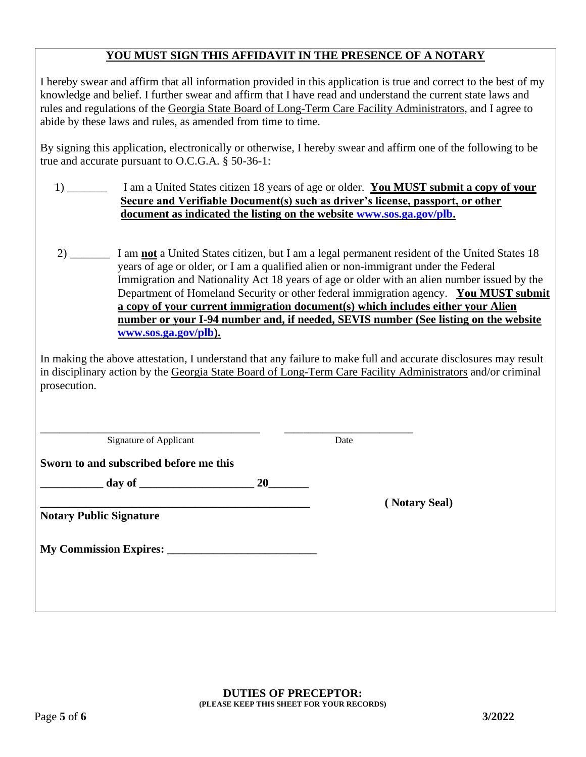## **YOU MUST SIGN THIS AFFIDAVIT IN THE PRESENCE OF A NOTARY**

I hereby swear and affirm that all information provided in this application is true and correct to the best of my knowledge and belief. I further swear and affirm that I have read and understand the current state laws and rules and regulations of the Georgia State Board of Long-Term Care Facility Administrators, and I agree to abide by these laws and rules, as amended from time to time.

By signing this application, electronically or otherwise, I hereby swear and affirm one of the following to be true and accurate pursuant to O.C.G.A. § 50-36-1:

- 1) \_\_\_\_\_\_\_ I am a United States citizen 18 years of age or older. **You MUST submit a copy of your Secure and Verifiable Document(s) such as driver's license, passport, or other document as indicated the listing on the website [www.sos.ga.gov/plb.](http://www.sos.ga.gov/plb)**
- 2) \_\_\_\_\_\_\_ I am **not** a United States citizen, but I am a legal permanent resident of the United States 18 years of age or older, or I am a qualified alien or non-immigrant under the Federal Immigration and Nationality Act 18 years of age or older with an alien number issued by the Department of Homeland Security or other federal immigration agency. **You MUST submit a copy of your current immigration document(s) which includes either your Alien number or your I-94 number and, if needed, SEVIS number (See listing on the website [www.sos.ga.gov/plb\)](http://www.sos.ga.gov/plb).**

In making the above attestation, I understand that any failure to make full and accurate disclosures may result in disciplinary action by the Georgia State Board of Long-Term Care Facility Administrators and/or criminal prosecution.

Signature of Applicant Date

**\_\_\_\_\_\_\_\_\_\_\_\_\_\_\_\_\_\_\_\_\_\_\_\_\_\_\_\_\_\_\_\_\_\_\_\_\_\_\_\_\_\_\_\_\_\_ \_\_\_\_\_\_\_\_\_\_\_\_\_\_\_\_\_\_\_\_\_\_\_\_\_\_\_** 

**\_\_\_\_\_\_\_\_\_\_\_\_\_\_\_\_\_\_\_\_\_\_\_\_\_\_\_\_\_\_\_\_\_\_\_\_\_\_\_\_\_\_\_\_\_\_\_ ( Notary Seal)**

**Sworn to and subscribed before me this**

**\_\_\_\_\_\_\_\_\_\_\_ day of \_\_\_\_\_\_\_\_\_\_\_\_\_\_\_\_\_\_\_\_ 20\_\_\_\_\_\_\_**

**Notary Public Signature**

**My Commission Expires:**